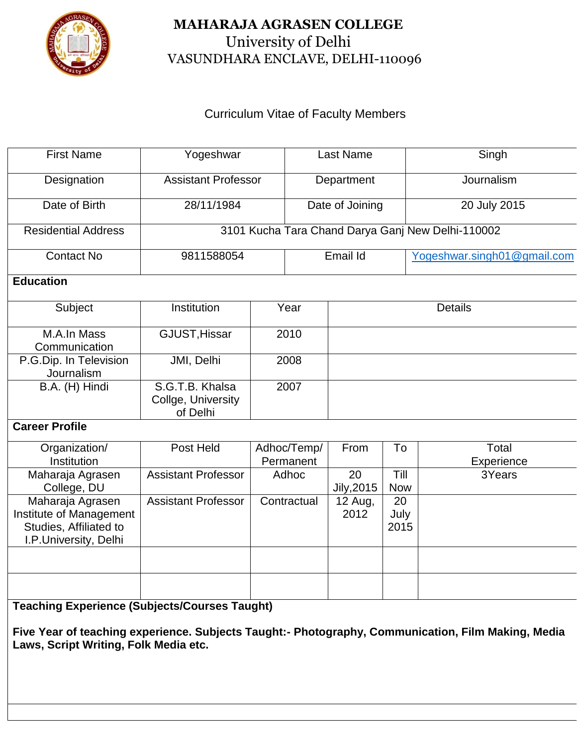

## **MAHARAJA AGRASEN COLLEGE** University of Delhi VASUNDHARA ENCLAVE, DELHI-110096

## Curriculum Vitae of Faculty Members

| <b>First Name</b>                                                                                                                                          | Yogeshwar                                         |                          | <b>Last Name</b> |                  |                    | Singh                       |  |
|------------------------------------------------------------------------------------------------------------------------------------------------------------|---------------------------------------------------|--------------------------|------------------|------------------|--------------------|-----------------------------|--|
| Designation                                                                                                                                                | <b>Assistant Professor</b>                        |                          | Department       |                  |                    | Journalism                  |  |
| Date of Birth                                                                                                                                              | 28/11/1984                                        |                          | Date of Joining  |                  |                    | 20 July 2015                |  |
| <b>Residential Address</b>                                                                                                                                 | 3101 Kucha Tara Chand Darya Ganj New Delhi-110002 |                          |                  |                  |                    |                             |  |
| <b>Contact No</b>                                                                                                                                          | 9811588054                                        |                          | Email Id         |                  |                    | Yogeshwar.singh01@gmail.com |  |
| <b>Education</b>                                                                                                                                           |                                                   |                          |                  |                  |                    |                             |  |
| Subject                                                                                                                                                    | Institution                                       | Year                     |                  | <b>Details</b>   |                    |                             |  |
| M.A.In Mass<br>Communication                                                                                                                               | GJUST, Hissar                                     | 2010                     |                  |                  |                    |                             |  |
| P.G.Dip. In Television<br>Journalism                                                                                                                       | JMI, Delhi                                        | 2008                     |                  |                  |                    |                             |  |
| B.A. (H) Hindi                                                                                                                                             | S.G.T.B. Khalsa<br>Collge, University<br>of Delhi | 2007                     |                  |                  |                    |                             |  |
| <b>Career Profile</b>                                                                                                                                      |                                                   |                          |                  |                  |                    |                             |  |
| Organization/<br>Institution                                                                                                                               | Post Held                                         | Adhoc/Temp/<br>Permanent |                  | From             | To                 | Total<br>Experience         |  |
| Maharaja Agrasen<br>College, DU                                                                                                                            | <b>Assistant Professor</b>                        | Adhoc                    |                  | 20<br>Jily, 2015 | Till<br><b>Now</b> | 3Years                      |  |
| Maharaja Agrasen<br>Institute of Management<br>Studies, Affiliated to<br>I.P.University, Delhi                                                             | <b>Assistant Professor</b>                        |                          | Contractual      | 12 Aug,<br>2012  | 20<br>July<br>2015 |                             |  |
|                                                                                                                                                            |                                                   |                          |                  |                  |                    |                             |  |
|                                                                                                                                                            |                                                   |                          |                  |                  |                    |                             |  |
| <b>Teaching Experience (Subjects/Courses Taught)</b><br>Five Year of teaching experience. Subjects Taught:- Photography, Communication, Film Making, Media |                                                   |                          |                  |                  |                    |                             |  |

**Laws, Script Writing, Folk Media etc.**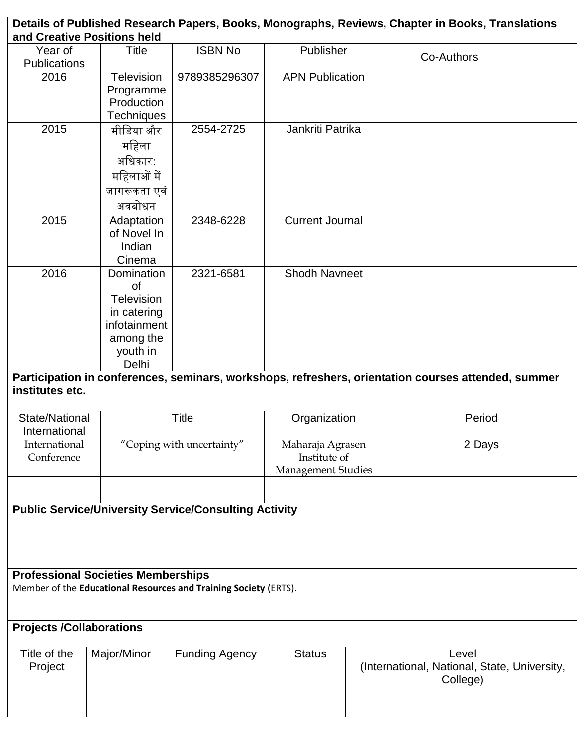|                                 | and Creative Positions held                                                                            |                                                                  |                                                               | Details of Published Research Papers, Books, Monographs, Reviews, Chapter in Books, Translations    |
|---------------------------------|--------------------------------------------------------------------------------------------------------|------------------------------------------------------------------|---------------------------------------------------------------|-----------------------------------------------------------------------------------------------------|
| Year of                         | Title                                                                                                  | <b>ISBN No</b>                                                   | Publisher                                                     |                                                                                                     |
| <b>Publications</b>             |                                                                                                        |                                                                  |                                                               | Co-Authors                                                                                          |
| 2016                            | Television<br>Programme<br>Production                                                                  | 9789385296307                                                    | <b>APN Publication</b>                                        |                                                                                                     |
|                                 | Techniques                                                                                             |                                                                  |                                                               |                                                                                                     |
| 2015                            | मीडिया और<br>महिला<br>अधिकार:<br>महिलाओं में<br>जागरूकता एवं<br>अवबोधन                                 | 2554-2725                                                        | Jankriti Patrika                                              |                                                                                                     |
| 2015                            | Adaptation<br>of Novel In<br>Indian<br>Cinema                                                          | 2348-6228                                                        | <b>Current Journal</b>                                        |                                                                                                     |
| 2016                            | Domination<br><b>of</b><br>Television<br>in catering<br>infotainment<br>among the<br>youth in<br>Delhi | 2321-6581                                                        | <b>Shodh Navneet</b>                                          |                                                                                                     |
| institutes etc.                 |                                                                                                        |                                                                  |                                                               | Participation in conferences, seminars, workshops, refreshers, orientation courses attended, summer |
|                                 | <b>Title</b><br>State/National                                                                         |                                                                  | Organization                                                  | Period                                                                                              |
| International                   |                                                                                                        |                                                                  |                                                               |                                                                                                     |
| International<br>Conference     |                                                                                                        | "Coping with uncertainty"                                        | Maharaja Agrasen<br>Institute of<br><b>Management Studies</b> | 2 Days                                                                                              |
|                                 |                                                                                                        | <b>Public Service/University Service/Consulting Activity</b>     |                                                               |                                                                                                     |
|                                 | <b>Professional Societies Memberships</b>                                                              | Member of the Educational Resources and Training Society (ERTS). |                                                               |                                                                                                     |
| <b>Projects /Collaborations</b> |                                                                                                        |                                                                  |                                                               |                                                                                                     |
| Title of the<br>Project         | Major/Minor                                                                                            | <b>Funding Agency</b>                                            | <b>Status</b>                                                 | Level<br>(International, National, State, University,                                               |
|                                 |                                                                                                        |                                                                  |                                                               | College)                                                                                            |